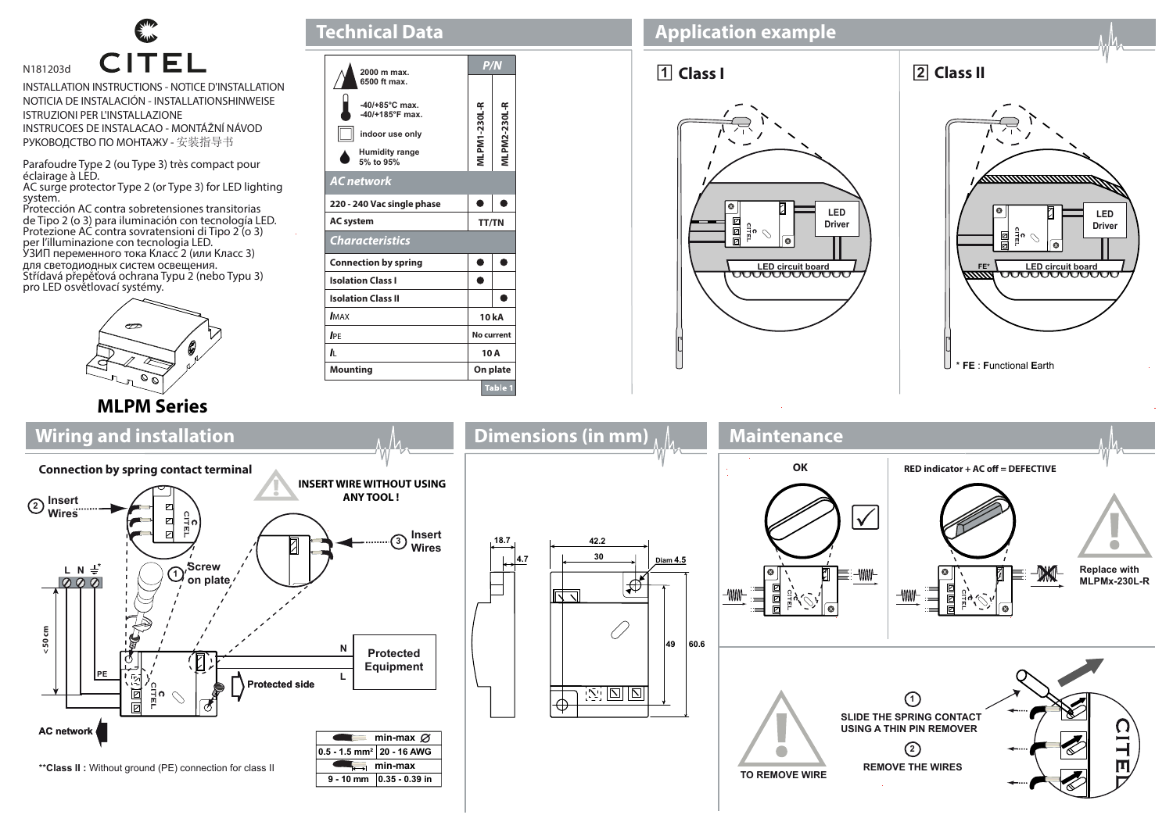

INSTALLATION INSTRUCTIONS - NOTICE D'INSTALLATION NOTICIA DE INSTALACIÓN - INSTALLATIONSHINWEISE ISTRUZIONI PER L'INSTALLAZIONE INSTRUCOES DE INSTALACAO - MONTÁŽNÍ NÁVOD РУКОВОДСТВО ПО МОНТАЖУ - 安装指导书

Parafoudre Type 2 (ou Type 3) très compact pour éclairage à LED.

AC surge protector Type 2 (or Type 3) for LED lighting system.

Protección AC contra sobretensiones transitorias de Tipo 2 (o 3) para iluminación con tecnología LED. Protezione AC contra sovratensioni di Tipo 2 (o 3) per l'illuminazione con tecnologia LED. УЗИП переменного тока Класс 2 (или Класс 3) для светодиодных систем освещения. Střídavá přepěťová ochrana Typu 2 (nebo Typu 3) pro LED osvětlovací systémy.



| 2000 m max.                                           |                     | P/N           |  |
|-------------------------------------------------------|---------------------|---------------|--|
| 6500 ft max.                                          |                     |               |  |
| $-40/+85^{\circ}$ C max.<br>$-40/+185^{\circ}$ F max. |                     |               |  |
| indoor use only                                       | <b>MLPM1-230L-R</b> | VILPM2-230L-R |  |
| <b>Humidity range</b><br>5% to 95%                    |                     |               |  |
| <b>AC</b> network                                     |                     |               |  |
| 220 - 240 Vac single phase                            |                     |               |  |
| <b>AC</b> system                                      |                     | <b>TT/TN</b>  |  |
| <b>Characteristics</b>                                |                     |               |  |
|                                                       |                     |               |  |
| <b>Connection by spring</b>                           |                     |               |  |
| <b>Isolation Class I</b>                              |                     |               |  |
| <b>Isolation Class II</b>                             |                     |               |  |
| <b>IMAX</b>                                           |                     | 10 kA         |  |
| <b>IPE</b>                                            | No current          |               |  |
| ı.                                                    | 10A                 |               |  |

**Technical Data**

## **Application example**





## **MLPM Series**